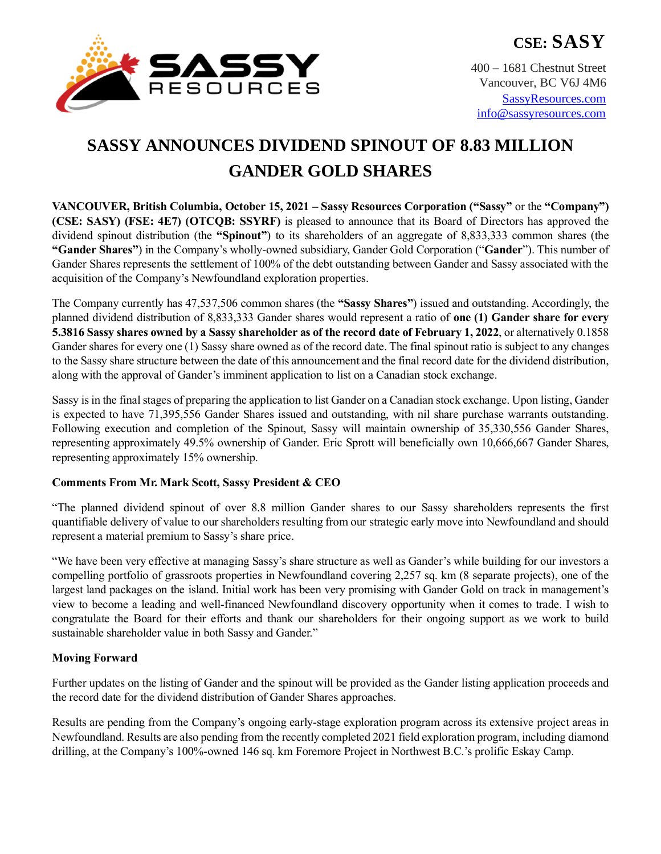

400 – 1681 Chestnut Street Vancouver, BC V6J 4M6 [SassyResources.com](http://www.sassyresources.ca/) [info@sassyresources.com](mailto:info@sassyresources.com)

# **SASSY ANNOUNCES DIVIDEND SPINOUT OF 8.83 MILLION GANDER GOLD SHARES**

**VANCOUVER, British Columbia, October 15, 2021 – Sassy Resources Corporation ("Sassy"** or the **"Company") (CSE: SASY) (FSE: 4E7) (OTCQB: SSYRF)** is pleased to announce that its Board of Directors has approved the dividend spinout distribution (the **"Spinout"**) to its shareholders of an aggregate of 8,833,333 common shares (the **"Gander Shares"**) in the Company's wholly-owned subsidiary, Gander Gold Corporation ("**Gander**"). This number of Gander Shares represents the settlement of 100% of the debt outstanding between Gander and Sassy associated with the acquisition of the Company's Newfoundland exploration properties.

The Company currently has 47,537,506 common shares (the **"Sassy Shares"**) issued and outstanding. Accordingly, the planned dividend distribution of 8,833,333 Gander shares would represent a ratio of **one (1) Gander share for every 5.3816 Sassy shares owned by a Sassy shareholder as of the record date of February 1, 2022**, or alternatively 0.1858 Gander shares for every one (1) Sassy share owned as of the record date. The final spinout ratio is subject to any changes to the Sassy share structure between the date of this announcement and the final record date for the dividend distribution, along with the approval of Gander's imminent application to list on a Canadian stock exchange.

Sassy is in the final stages of preparing the application to list Gander on a Canadian stock exchange. Upon listing, Gander is expected to have 71,395,556 Gander Shares issued and outstanding, with nil share purchase warrants outstanding. Following execution and completion of the Spinout, Sassy will maintain ownership of 35,330,556 Gander Shares, representing approximately 49.5% ownership of Gander. Eric Sprott will beneficially own 10,666,667 Gander Shares, representing approximately 15% ownership.

# **Comments From Mr. Mark Scott, Sassy President & CEO**

"The planned dividend spinout of over 8.8 million Gander shares to our Sassy shareholders represents the first quantifiable delivery of value to our shareholders resulting from our strategic early move into Newfoundland and should represent a material premium to Sassy's share price.

"We have been very effective at managing Sassy's share structure as well as Gander's while building for our investors a compelling portfolio of grassroots properties in Newfoundland covering 2,257 sq. km (8 separate projects), one of the largest land packages on the island. Initial work has been very promising with Gander Gold on track in management's view to become a leading and well-financed Newfoundland discovery opportunity when it comes to trade. I wish to congratulate the Board for their efforts and thank our shareholders for their ongoing support as we work to build sustainable shareholder value in both Sassy and Gander."

# **Moving Forward**

Further updates on the listing of Gander and the spinout will be provided as the Gander listing application proceeds and the record date for the dividend distribution of Gander Shares approaches.

Results are pending from the Company's ongoing early-stage exploration program across its extensive project areas in Newfoundland. Results are also pending from the recently completed 2021 field exploration program, including diamond drilling, at the Company's 100%-owned 146 sq. km Foremore Project in Northwest B.C.'s prolific Eskay Camp.